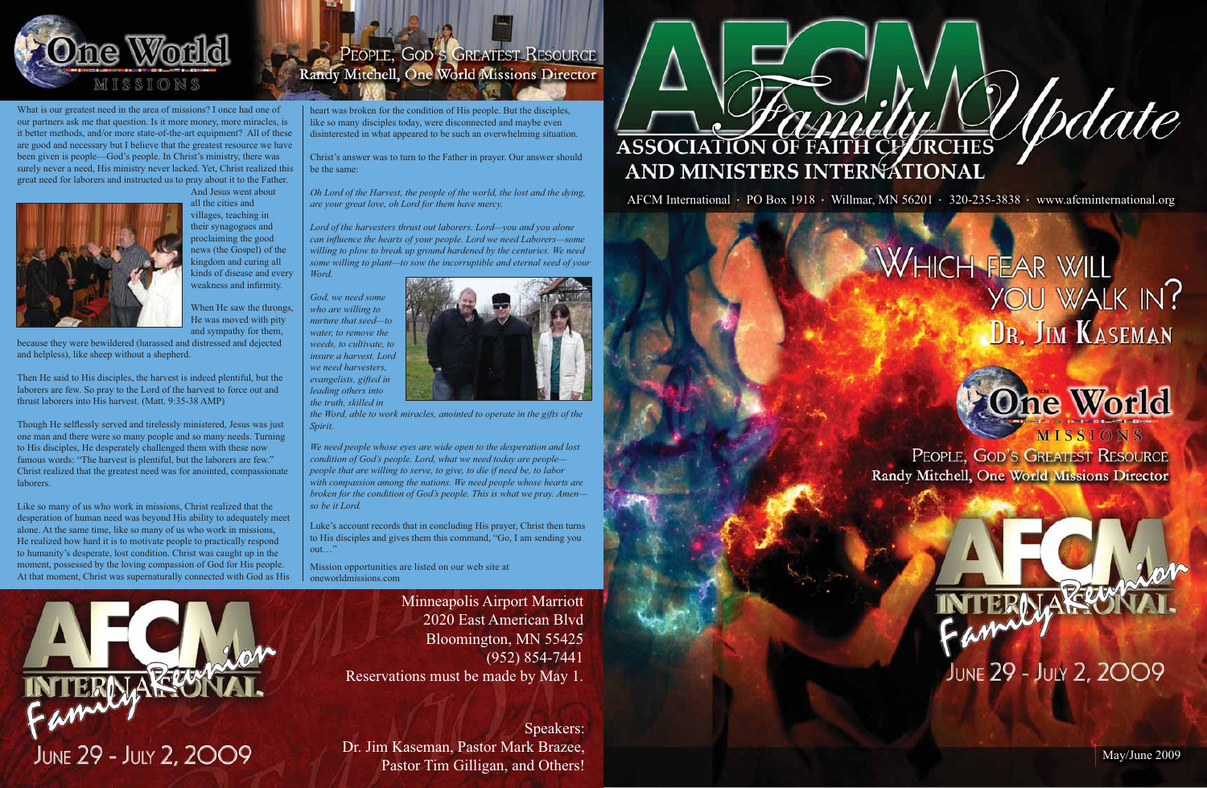May/June 2009

Minneapolis Airport Marriott 2020 East American Blvd Bloomington, MN 55425 (952) 854-7441 Reservations must be made by May 1.

Speakers: Dr. Jim Kaseman, Pastor Mark Brazee, Pastor Tim Gilligan, and Others!



AFCM International · PO Box 1918 · Willmar, MN 56201 · 320-235-3838 · www.afcminternational.org



## WHICH FEAR WILL YOU WALK IN? DR. JIM KASEMAN

# One World

**MISSIONS** PEOPLE, GOD'S GREATEST RESOURCE Randy Mitchell, One World Missions Director



**JUNE 29 - JULY 2, 2009** 



What is our greatest need in the area of missions? I once had one of our partners ask me that question. Is it more money, more miracles, is it better methods, and/or more state-of-the-art equipment? All of these are good and necessary but I believe that the greatest resource we have been given is people—God's people. In Christ's ministry, there was surely never a need, His ministry never lacked. Yet, Christ realized this great need for laborers and instructed us to pray about it to the Father.



And Jesus went about all the cities and villages, teaching in their synagogues and proclaiming the good news (the Gospel) of the kingdom and curing all kinds of disease and every weakness and infirmity.

When He saw the throngs, He was moved with pity and sympathy for them,

because they were bewildered (harassed and distressed and dejected and helpless), like sheep without a shepherd.

Then He said to His disciples, the harvest is indeed plentiful, but the laborers are few. So pray to the Lord of the harvest to force out and thrust laborers into His harvest. (Matt. 9:35-38 AMP)

Though He selflessly served and tirelessly ministered, Jesus was just one man and there were so many people and so many needs. Turning to His disciples, He desperately challenged them with these now famous words: "The harvest is plentiful, but the laborers are few." Christ realized that the greatest need was for anointed, compassionate laborers.

Like so many of us who work in missions, Christ realized that the desperation of human need was beyond His ability to adequately meet alone. At the same time, like so many of us who work in missions, He realized how hard it is to motivate people to practically respond to humanity's desperate, lost condition. Christ was caught up in the moment, possessed by the loving compassion of God for His people. At that moment, Christ was supernaturally connected with God as His



PEOPLE, GOD'S GREATEST RESOURCE<br>Randy Mitchell, One World Missions Director

heart was broken for the condition of His people. But the disciples, like so many disciples today, were disconnected and maybe even disinterested in what appeared to be such an overwhelming situation.

Christ's answer was to turn to the Father in prayer. Our answer should be the same:

*Oh Lord of the Harvest, the people of the world, the lost and the dying, are your great love, oh Lord for them have mercy.* 

*Lord of the harvesters thrust out laborers. Lord—you and you alone can influence the hearts of your people. Lord we need Laborers—some willing to plow to break up ground hardened by the centuries. We need some willing to plant—to sow the incorruptible and eternal seed of your Word.* 

*God, we need some who are willing to nurture that seed—to water, to remove the weeds, to cultivate, to insure a harvest. Lord we need harvesters, evangelists, gifted in leading others into the truth, skilled in* 



*the Word, able to work miracles, anointed to operate in the gifts of the Spirit.* 

*We need people whose eyes are wide open to the desperation and lost condition of God's people. Lord, what we need today are people people that are willing to serve, to give, to die if need be, to labor with compassion among the nations. We need people whose hearts are broken for the condition of God's people. This is what we pray. Amen so be it Lord.*

Luke's account records that in concluding His prayer, Christ then turns to His disciples and gives them this command, "Go, I am sending you out…"

Mission opportunities are listed on our web site at oneworldmissions.com